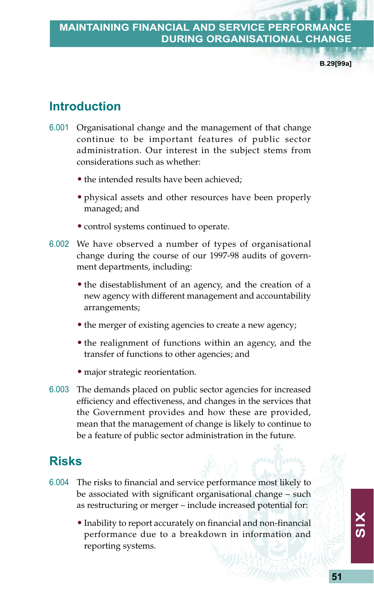**B.29[99a]**

# **Introduction**

- 6.001 Organisational change and the management of that change continue to be important features of public sector administration. Our interest in the subject stems from considerations such as whether:
	- the intended results have been achieved;
	- physical assets and other resources have been properly managed; and
	- control systems continued to operate.
- 6.002 We have observed a number of types of organisational change during the course of our 1997-98 audits of government departments, including:
	- the disestablishment of an agency, and the creation of a new agency with different management and accountability arrangements;
	- the merger of existing agencies to create a new agency;
	- the realignment of functions within an agency, and the transfer of functions to other agencies; and
	- major strategic reorientation.
- 6.003 The demands placed on public sector agencies for increased efficiency and effectiveness, and changes in the services that the Government provides and how these are provided, mean that the management of change is likely to continue to be a feature of public sector administration in the future.

# **Risks**

- 6.004 The risks to financial and service performance most likely to be associated with significant organisational change – such as restructuring or merger – include increased potential for:
	- Inability to report accurately on financial and non-financial performance due to a breakdown in information and reporting systems.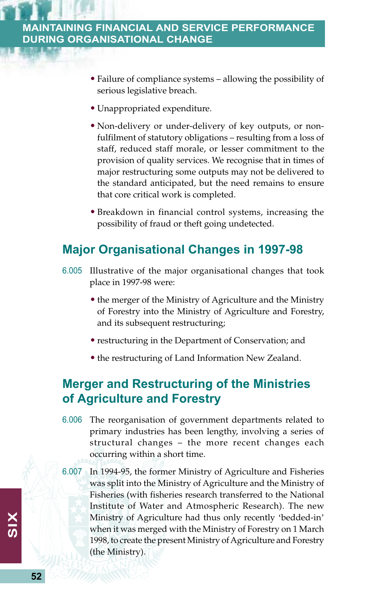- Failure of compliance systems allowing the possibility of serious legislative breach.
- Unappropriated expenditure.
- Non-delivery or under-delivery of key outputs, or nonfulfilment of statutory obligations – resulting from a loss of staff, reduced staff morale, or lesser commitment to the provision of quality services. We recognise that in times of major restructuring some outputs may not be delivered to the standard anticipated, but the need remains to ensure that core critical work is completed.
- Breakdown in financial control systems, increasing the possibility of fraud or theft going undetected.

# **Major Organisational Changes in 1997-98**

- 6.005 Illustrative of the major organisational changes that took place in 1997-98 were:
	- the merger of the Ministry of Agriculture and the Ministry of Forestry into the Ministry of Agriculture and Forestry, and its subsequent restructuring;
	- restructuring in the Department of Conservation; and
	- the restructuring of Land Information New Zealand.

# **Merger and Restructuring of the Ministries of Agriculture and Forestry**

- 6.006 The reorganisation of government departments related to primary industries has been lengthy, involving a series of structural changes – the more recent changes each occurring within a short time.
- 6.007 In 1994-95, the former Ministry of Agriculture and Fisheries was split into the Ministry of Agriculture and the Ministry of Fisheries (with fisheries research transferred to the National Institute of Water and Atmospheric Research). The new Ministry of Agriculture had thus only recently 'bedded-in' when it was merged with the Ministry of Forestry on 1 March 1998, to create the present Ministry of Agriculture and Forestry (the Ministry).

**52**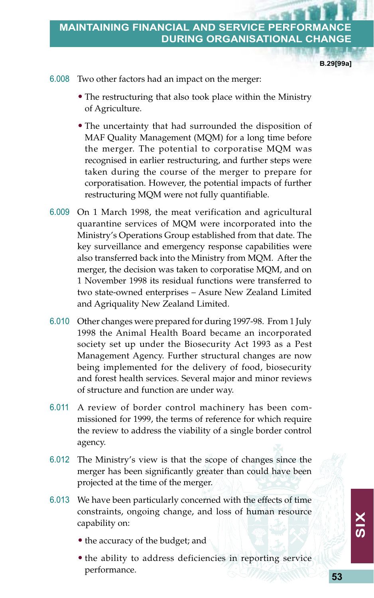**B.29[99a]**

6.008 Two other factors had an impact on the merger:

- The restructuring that also took place within the Ministry of Agriculture.
- The uncertainty that had surrounded the disposition of MAF Quality Management (MQM) for a long time before the merger. The potential to corporatise MQM was recognised in earlier restructuring, and further steps were taken during the course of the merger to prepare for corporatisation. However, the potential impacts of further restructuring MQM were not fully quantifiable.
- 6.009 On 1 March 1998, the meat verification and agricultural quarantine services of MQM were incorporated into the Ministry's Operations Group established from that date. The key surveillance and emergency response capabilities were also transferred back into the Ministry from MQM. After the merger, the decision was taken to corporatise MQM, and on 1 November 1998 its residual functions were transferred to two state-owned enterprises – Asure New Zealand Limited and Agriquality New Zealand Limited.
- 6.010 Other changes were prepared for during 1997-98. From 1 July 1998 the Animal Health Board became an incorporated society set up under the Biosecurity Act 1993 as a Pest Management Agency. Further structural changes are now being implemented for the delivery of food, biosecurity and forest health services. Several major and minor reviews of structure and function are under way.
- 6.011 A review of border control machinery has been commissioned for 1999, the terms of reference for which require the review to address the viability of a single border control agency.
- 6.012 The Ministry's view is that the scope of changes since the merger has been significantly greater than could have been projected at the time of the merger.
- 6.013 We have been particularly concerned with the effects of time constraints, ongoing change, and loss of human resource capability on:
	- the accuracy of the budget; and
	- the ability to address deficiencies in reporting service performance.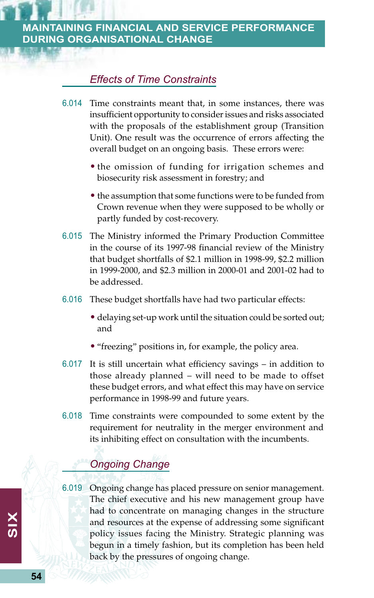## *Effects of Time Constraints*

- 6.014 Time constraints meant that, in some instances, there was insufficient opportunity to consider issues and risks associated with the proposals of the establishment group (Transition Unit). One result was the occurrence of errors affecting the overall budget on an ongoing basis. These errors were:
	- the omission of funding for irrigation schemes and biosecurity risk assessment in forestry; and
	- the assumption that some functions were to be funded from Crown revenue when they were supposed to be wholly or partly funded by cost-recovery.
- 6.015 The Ministry informed the Primary Production Committee in the course of its 1997-98 financial review of the Ministry that budget shortfalls of \$2.1 million in 1998-99, \$2.2 million in 1999-2000, and \$2.3 million in 2000-01 and 2001-02 had to be addressed.
- 6.016 These budget shortfalls have had two particular effects:
	- delaying set-up work until the situation could be sorted out; and
	- "freezing" positions in, for example, the policy area.
- 6.017 It is still uncertain what efficiency savings in addition to those already planned – will need to be made to offset these budget errors, and what effect this may have on service performance in 1998-99 and future years.
- 6.018 Time constraints were compounded to some extent by the requirement for neutrality in the merger environment and its inhibiting effect on consultation with the incumbents.

## *Ongoing Change*

6.019 Ongoing change has placed pressure on senior management. The chief executive and his new management group have had to concentrate on managing changes in the structure and resources at the expense of addressing some significant policy issues facing the Ministry. Strategic planning was begun in a timely fashion, but its completion has been held back by the pressures of ongoing change.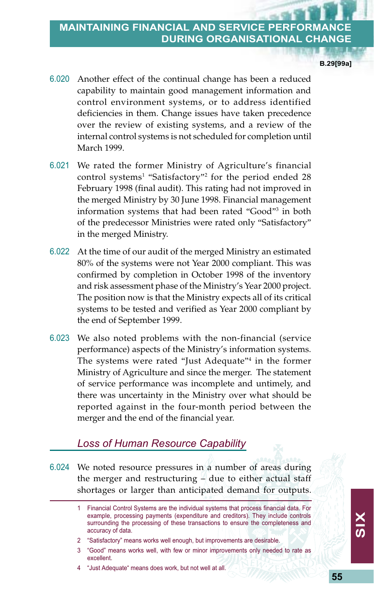**B.29[99a]**

- 6.020 Another effect of the continual change has been a reduced capability to maintain good management information and control environment systems, or to address identified deficiencies in them. Change issues have taken precedence over the review of existing systems, and a review of the internal control systems is not scheduled for completion until March 1999.
- 6.021 We rated the former Ministry of Agriculture's financial control systems<sup>1</sup> "Satisfactory"<sup>2</sup> for the period ended 28 February 1998 (final audit). This rating had not improved in the merged Ministry by 30 June 1998. Financial management information systems that had been rated "Good"<sup>3</sup> in both of the predecessor Ministries were rated only "Satisfactory" in the merged Ministry.
- 6.022 At the time of our audit of the merged Ministry an estimated 80% of the systems were not Year 2000 compliant. This was confirmed by completion in October 1998 of the inventory and risk assessment phase of the Ministry's Year 2000 project. The position now is that the Ministry expects all of its critical systems to be tested and verified as Year 2000 compliant by the end of September 1999.
- 6.023 We also noted problems with the non-financial (service performance) aspects of the Ministry's information systems. The systems were rated "Just Adequate"<sup>4</sup> in the former Ministry of Agriculture and since the merger. The statement of service performance was incomplete and untimely, and there was uncertainty in the Ministry over what should be reported against in the four-month period between the merger and the end of the financial year.

#### *Loss of Human Resource Capability*

6.024 We noted resource pressures in a number of areas during the merger and restructuring – due to either actual staff shortages or larger than anticipated demand for outputs.

- 2 "Satisfactory" means works well enough, but improvements are desirable.
- 3 "Good" means works well, with few or minor improvements only needed to rate as excellent.
- 4 "Just Adequate" means does work, but not well at all.

<sup>1</sup> Financial Control Systems are the individual systems that process financial data. For example, processing payments (expenditure and creditors). They include controls surrounding the processing of these transactions to ensure the completeness and accuracy of data.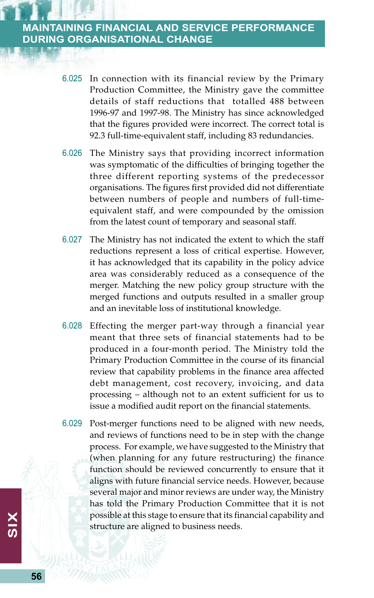- 6.025 In connection with its financial review by the Primary Production Committee, the Ministry gave the committee details of staff reductions that totalled 488 between 1996-97 and 1997-98. The Ministry has since acknowledged that the figures provided were incorrect. The correct total is 92.3 full-time-equivalent staff, including 83 redundancies.
- 6.026 The Ministry says that providing incorrect information was symptomatic of the difficulties of bringing together the three different reporting systems of the predecessor organisations. The figures first provided did not differentiate between numbers of people and numbers of full-timeequivalent staff, and were compounded by the omission from the latest count of temporary and seasonal staff.
- 6.027 The Ministry has not indicated the extent to which the staff reductions represent a loss of critical expertise. However, it has acknowledged that its capability in the policy advice area was considerably reduced as a consequence of the merger. Matching the new policy group structure with the merged functions and outputs resulted in a smaller group and an inevitable loss of institutional knowledge.
- 6.028 Effecting the merger part-way through a financial year meant that three sets of financial statements had to be produced in a four-month period. The Ministry told the Primary Production Committee in the course of its financial review that capability problems in the finance area affected debt management, cost recovery, invoicing, and data processing – although not to an extent sufficient for us to issue a modified audit report on the financial statements.
- 6.029 Post-merger functions need to be aligned with new needs, and reviews of functions need to be in step with the change process. For example, we have suggested to the Ministry that (when planning for any future restructuring) the finance function should be reviewed concurrently to ensure that it aligns with future financial service needs. However, because several major and minor reviews are under way, the Ministry has told the Primary Production Committee that it is not possible at this stage to ensure that its financial capability and structure are aligned to business needs.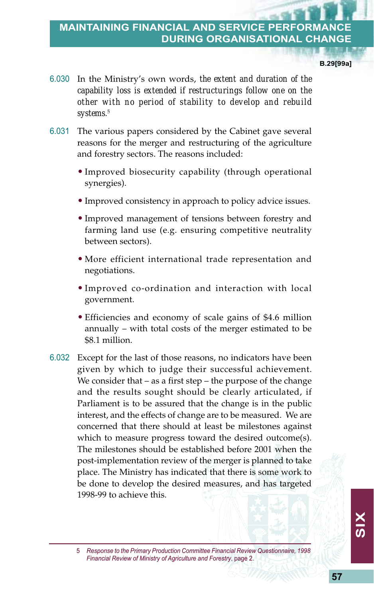**B.29[99a]**

- 6.030 In the Ministry's own words, *the extent and duration of the capability loss is extended if restructurings follow one on the other with no period of stability to develop and rebuild systems*. 5
- 6.031 The various papers considered by the Cabinet gave several reasons for the merger and restructuring of the agriculture and forestry sectors. The reasons included:
	- Improved biosecurity capability (through operational synergies).
	- Improved consistency in approach to policy advice issues.
	- Improved management of tensions between forestry and farming land use (e.g. ensuring competitive neutrality between sectors).
	- More efficient international trade representation and negotiations.
	- Improved co-ordination and interaction with local government.
	- Efficiencies and economy of scale gains of \$4.6 million annually – with total costs of the merger estimated to be \$8.1 million.
- 6.032 Except for the last of those reasons, no indicators have been given by which to judge their successful achievement. We consider that – as a first step – the purpose of the change and the results sought should be clearly articulated, if Parliament is to be assured that the change is in the public interest, and the effects of change are to be measured. We are concerned that there should at least be milestones against which to measure progress toward the desired outcome(s). The milestones should be established before 2001 when the post-implementation review of the merger is planned to take place. The Ministry has indicated that there is some work to be done to develop the desired measures, and has targeted 1998-99 to achieve this.

<sup>5</sup> *Response to the Primary Production Committee Financial Review Questionnaire, 1998 Financial Review of Ministry of Agriculture and Forestry*, page 2.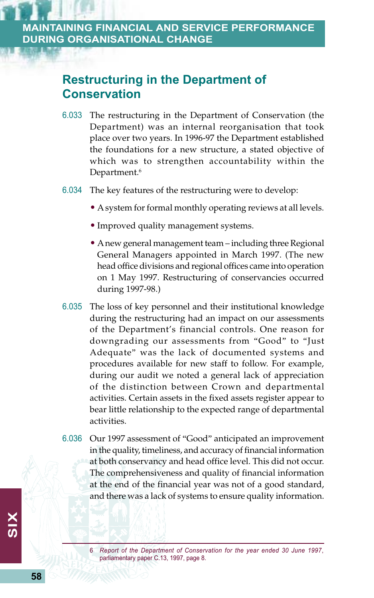# **Restructuring in the Department of Conservation**

- 6.033 The restructuring in the Department of Conservation (the Department) was an internal reorganisation that took place over two years. In 1996-97 the Department established the foundations for a new structure, a stated objective of which was to strengthen accountability within the Department.<sup>6</sup>
- 6.034 The key features of the restructuring were to develop:
	- A system for formal monthly operating reviews at all levels.
	- Improved quality management systems.
	- A new general management team including three Regional General Managers appointed in March 1997. (The new head office divisions and regional offices came into operation on 1 May 1997. Restructuring of conservancies occurred during 1997-98.)
- 6.035 The loss of key personnel and their institutional knowledge during the restructuring had an impact on our assessments of the Department's financial controls. One reason for downgrading our assessments from "Good" to "Just Adequate" was the lack of documented systems and procedures available for new staff to follow. For example, during our audit we noted a general lack of appreciation of the distinction between Crown and departmental activities. Certain assets in the fixed assets register appear to bear little relationship to the expected range of departmental activities.
- 6.036 Our 1997 assessment of "Good" anticipated an improvement in the quality, timeliness, and accuracy of financial information at both conservancy and head office level. This did not occur. The comprehensiveness and quality of financial information at the end of the financial year was not of a good standard, and there was a lack of systems to ensure quality information.

<sup>6</sup> *Report of the Department of Conservation for the year ended 30 June 1997*, parliamentary paper C.13, 1997, page 8.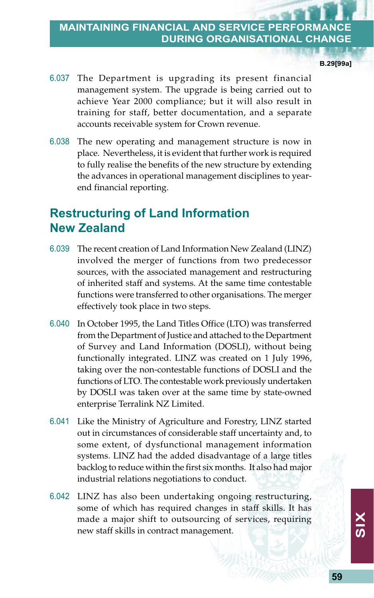**B.29[99a]**

- 6.037 The Department is upgrading its present financial management system. The upgrade is being carried out to achieve Year 2000 compliance; but it will also result in training for staff, better documentation, and a separate accounts receivable system for Crown revenue.
- 6.038 The new operating and management structure is now in place. Nevertheless, it is evident that further work is required to fully realise the benefits of the new structure by extending the advances in operational management disciplines to yearend financial reporting.

# **Restructuring of Land Information New Zealand**

- 6.039 The recent creation of Land Information New Zealand (LINZ) involved the merger of functions from two predecessor sources, with the associated management and restructuring of inherited staff and systems. At the same time contestable functions were transferred to other organisations. The merger effectively took place in two steps.
- 6.040 In October 1995, the Land Titles Office (LTO) was transferred from the Department of Justice and attached to the Department of Survey and Land Information (DOSLI), without being functionally integrated. LINZ was created on 1 July 1996, taking over the non-contestable functions of DOSLI and the functions of LTO. The contestable work previously undertaken by DOSLI was taken over at the same time by state-owned enterprise Terralink NZ Limited.
- 6.041 Like the Ministry of Agriculture and Forestry, LINZ started out in circumstances of considerable staff uncertainty and, to some extent, of dysfunctional management information systems. LINZ had the added disadvantage of a large titles backlog to reduce within the first six months. It also had major industrial relations negotiations to conduct.
- 6.042 LINZ has also been undertaking ongoing restructuring, some of which has required changes in staff skills. It has made a major shift to outsourcing of services, requiring new staff skills in contract management.

**59**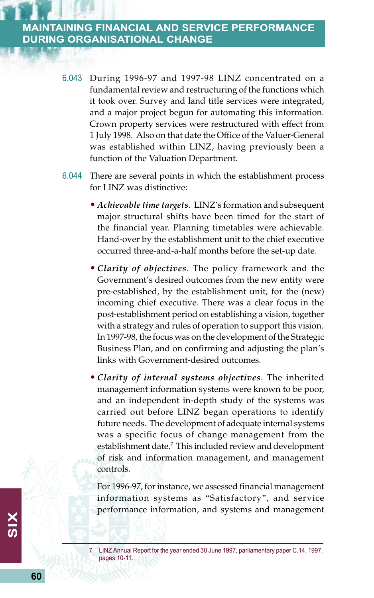- 6.043 During 1996-97 and 1997-98 LINZ concentrated on a fundamental review and restructuring of the functions which it took over. Survey and land title services were integrated, and a major project begun for automating this information. Crown property services were restructured with effect from 1 July 1998. Also on that date the Office of the Valuer-General was established within LINZ, having previously been a function of the Valuation Department.
- 6.044 There are several points in which the establishment process for LINZ was distinctive:
	- *Achievable time targets*. LINZ's formation and subsequent major structural shifts have been timed for the start of the financial year. Planning timetables were achievable. Hand-over by the establishment unit to the chief executive occurred three-and-a-half months before the set-up date.
	- *Clarity of objectives*. The policy framework and the Government's desired outcomes from the new entity were pre-established, by the establishment unit, for the (new) incoming chief executive. There was a clear focus in the post-establishment period on establishing a vision, together with a strategy and rules of operation to support this vision. In 1997-98, the focus was on the development of the Strategic Business Plan, and on confirming and adjusting the plan's links with Government-desired outcomes.
	- *Clarity of internal systems objectives*. The inherited management information systems were known to be poor, and an independent in-depth study of the systems was carried out before LINZ began operations to identify future needs. The development of adequate internal systems was a specific focus of change management from the establishment date.7 This included review and development of risk and information management, and management controls.

For 1996-97, for instance, we assessed financial management information systems as "Satisfactory", and service performance information, and systems and management

LINZ Annual Report for the year ended 30 June 1997, parliamentary paper C.14, 1997, pages 10-11.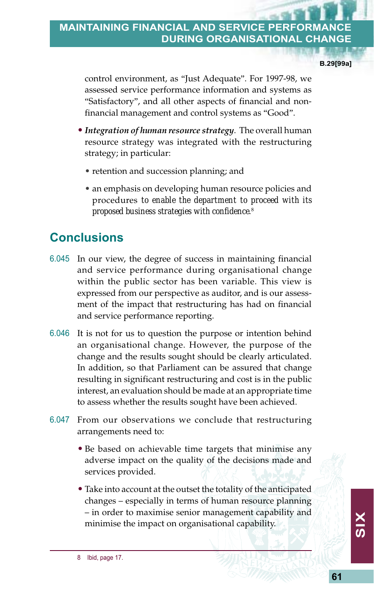**B.29[99a]**

control environment, as "Just Adequate". For 1997-98, we assessed service performance information and systems as "Satisfactory", and all other aspects of financial and nonfinancial management and control systems as "Good".

- *Integration of human resource strategy*. The overall human resource strategy was integrated with the restructuring strategy; in particular:
	- retention and succession planning; and
	- an emphasis on developing human resource policies and procedures *to enable the department to proceed with its proposed business strategies with confidence*. 8

# **Conclusions**

- 6.045 In our view, the degree of success in maintaining financial and service performance during organisational change within the public sector has been variable. This view is expressed from our perspective as auditor, and is our assessment of the impact that restructuring has had on financial and service performance reporting.
- 6.046 It is not for us to question the purpose or intention behind an organisational change. However, the purpose of the change and the results sought should be clearly articulated. In addition, so that Parliament can be assured that change resulting in significant restructuring and cost is in the public interest, an evaluation should be made at an appropriate time to assess whether the results sought have been achieved.
- 6.047 From our observations we conclude that restructuring arrangements need to:
	- Be based on achievable time targets that minimise any adverse impact on the quality of the decisions made and services provided.
	- Take into account at the outset the totality of the anticipated changes – especially in terms of human resource planning – in order to maximise senior management capability and minimise the impact on organisational capability.

8 Ibid, page 17.